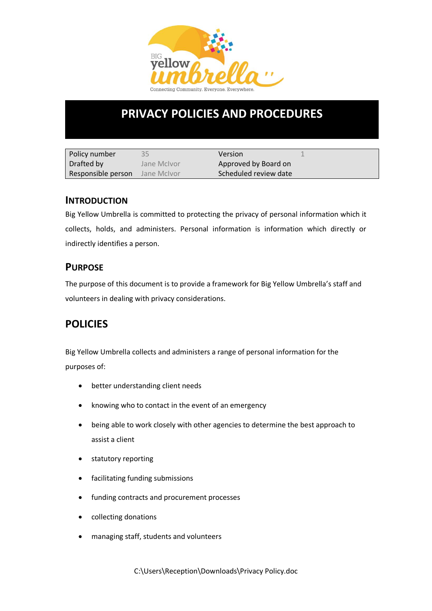

# **PRIVACY POLICIES AND PROCEDURES**

| Policy number      | 35          | Version               |  |
|--------------------|-------------|-----------------------|--|
| Drafted by         | Jane McIvor | Approved by Board on  |  |
| Responsible person | Jane McIvor | Scheduled review date |  |

### **INTRODUCTION**

Big Yellow Umbrella is committed to protecting the privacy of personal information which it collects, holds, and administers. Personal information is information which directly or indirectly identifies a person.

## **PURPOSE**

The purpose of this document is to provide a framework for Big Yellow Umbrella's staff and volunteers in dealing with privacy considerations.

# **POLICIES**

Big Yellow Umbrella collects and administers a range of personal information for the purposes of:

- better understanding client needs
- knowing who to contact in the event of an emergency
- being able to work closely with other agencies to determine the best approach to assist a client
- statutory reporting
- facilitating funding submissions
- funding contracts and procurement processes
- collecting donations
- managing staff, students and volunteers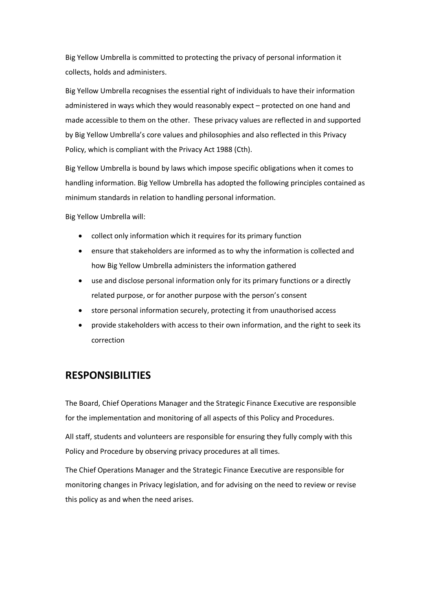Big Yellow Umbrella is committed to protecting the privacy of personal information it collects, holds and administers.

Big Yellow Umbrella recognises the essential right of individuals to have their information administered in ways which they would reasonably expect – protected on one hand and made accessible to them on the other. These privacy values are reflected in and supported by Big Yellow Umbrella's core values and philosophies and also reflected in this Privacy Policy, which is compliant with the Privacy Act 1988 (Cth).

Big Yellow Umbrella is bound by laws which impose specific obligations when it comes to handling information. Big Yellow Umbrella has adopted the following principles contained as minimum standards in relation to handling personal information.

Big Yellow Umbrella will:

- collect only information which it requires for its primary function
- ensure that stakeholders are informed as to why the information is collected and how Big Yellow Umbrella administers the information gathered
- use and disclose personal information only for its primary functions or a directly related purpose, or for another purpose with the person's consent
- store personal information securely, protecting it from unauthorised access
- provide stakeholders with access to their own information, and the right to seek its correction

### **RESPONSIBILITIES**

The Board, Chief Operations Manager and the Strategic Finance Executive are responsible for the implementation and monitoring of all aspects of this Policy and Procedures.

All staff, students and volunteers are responsible for ensuring they fully comply with this Policy and Procedure by observing privacy procedures at all times.

The Chief Operations Manager and the Strategic Finance Executive are responsible for monitoring changes in Privacy legislation, and for advising on the need to review or revise this policy as and when the need arises.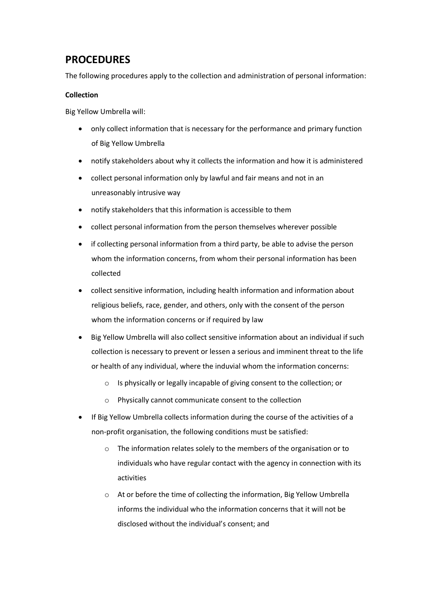# **PROCEDURES**

The following procedures apply to the collection and administration of personal information:

#### **Collection**

Big Yellow Umbrella will:

- only collect information that is necessary for the performance and primary function of Big Yellow Umbrella
- notify stakeholders about why it collects the information and how it is administered
- collect personal information only by lawful and fair means and not in an unreasonably intrusive way
- notify stakeholders that this information is accessible to them
- collect personal information from the person themselves wherever possible
- if collecting personal information from a third party, be able to advise the person whom the information concerns, from whom their personal information has been collected
- collect sensitive information, including health information and information about religious beliefs, race, gender, and others, only with the consent of the person whom the information concerns or if required by law
- Big Yellow Umbrella will also collect sensitive information about an individual if such collection is necessary to prevent or lessen a serious and imminent threat to the life or health of any individual, where the induvial whom the information concerns:
	- o Is physically or legally incapable of giving consent to the collection; or
	- o Physically cannot communicate consent to the collection
- If Big Yellow Umbrella collects information during the course of the activities of a non-profit organisation, the following conditions must be satisfied:
	- o The information relates solely to the members of the organisation or to individuals who have regular contact with the agency in connection with its activities
	- $\circ$  At or before the time of collecting the information, Big Yellow Umbrella informs the individual who the information concerns that it will not be disclosed without the individual's consent; and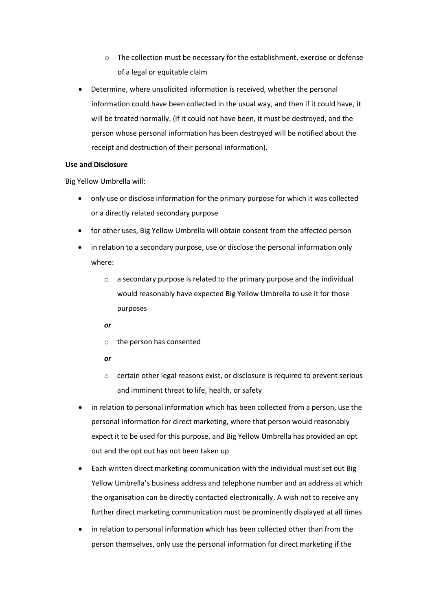- o The collection must be necessary for the establishment, exercise or defense of a legal or equitable claim
- Determine, where unsolicited information is received, whether the personal information could have been collected in the usual way, and then if it could have, it will be treated normally. (If it could not have been, it must be destroyed, and the person whose personal information has been destroyed will be notified about the receipt and destruction of their personal information).

#### **Use and Disclosure**

Big Yellow Umbrella will:

- only use or disclose information for the primary purpose for which it was collected or a directly related secondary purpose
- for other uses, Big Yellow Umbrella will obtain consent from the affected person
- in relation to a secondary purpose, use or disclose the personal information only where:
	- o a secondary purpose is related to the primary purpose and the individual would reasonably have expected Big Yellow Umbrella to use it for those purposes

#### *or*

- o the person has consented
- *or*
- o certain other legal reasons exist, or disclosure is required to prevent serious and imminent threat to life, health, or safety
- in relation to personal information which has been collected from a person, use the personal information for direct marketing, where that person would reasonably expect it to be used for this purpose, and Big Yellow Umbrella has provided an opt out and the opt out has not been taken up
- Each written direct marketing communication with the individual must set out Big Yellow Umbrella's business address and telephone number and an address at which the organisation can be directly contacted electronically. A wish not to receive any further direct marketing communication must be prominently displayed at all times
- in relation to personal information which has been collected other than from the person themselves, only use the personal information for direct marketing if the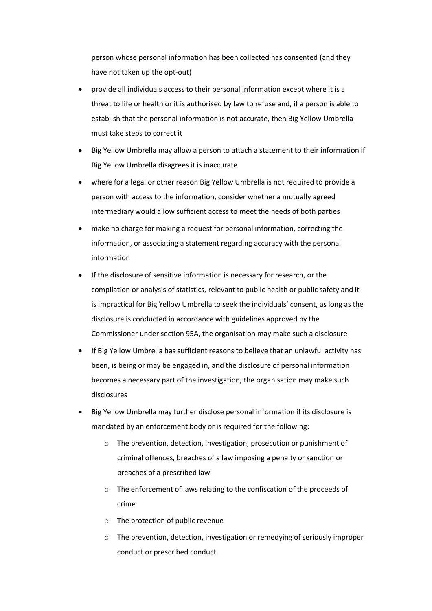person whose personal information has been collected has consented (and they have not taken up the opt-out)

- provide all individuals access to their personal information except where it is a threat to life or health or it is authorised by law to refuse and, if a person is able to establish that the personal information is not accurate, then Big Yellow Umbrella must take steps to correct it
- Big Yellow Umbrella may allow a person to attach a statement to their information if Big Yellow Umbrella disagrees it is inaccurate
- where for a legal or other reason Big Yellow Umbrella is not required to provide a person with access to the information, consider whether a mutually agreed intermediary would allow sufficient access to meet the needs of both parties
- make no charge for making a request for personal information, correcting the information, or associating a statement regarding accuracy with the personal information
- If the disclosure of sensitive information is necessary for research, or the compilation or analysis of statistics, relevant to public health or public safety and it is impractical for Big Yellow Umbrella to seek the individuals' consent, as long as the disclosure is conducted in accordance with guidelines approved by the Commissioner under section 95A, the organisation may make such a disclosure
- If Big Yellow Umbrella has sufficient reasons to believe that an unlawful activity has been, is being or may be engaged in, and the disclosure of personal information becomes a necessary part of the investigation, the organisation may make such disclosures
- Big Yellow Umbrella may further disclose personal information if its disclosure is mandated by an enforcement body or is required for the following:
	- o The prevention, detection, investigation, prosecution or punishment of criminal offences, breaches of a law imposing a penalty or sanction or breaches of a prescribed law
	- o The enforcement of laws relating to the confiscation of the proceeds of crime
	- o The protection of public revenue
	- o The prevention, detection, investigation or remedying of seriously improper conduct or prescribed conduct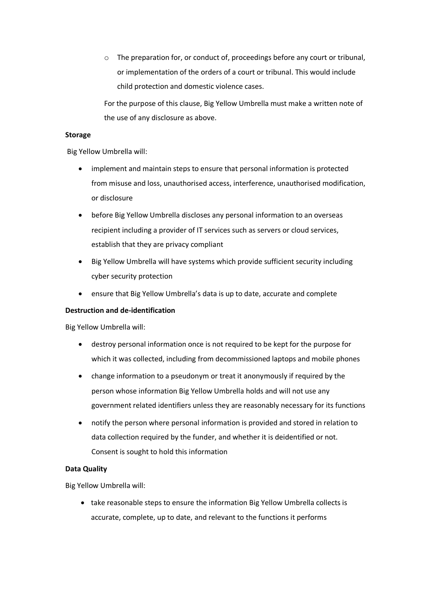o The preparation for, or conduct of, proceedings before any court or tribunal, or implementation of the orders of a court or tribunal. This would include child protection and domestic violence cases.

For the purpose of this clause, Big Yellow Umbrella must make a written note of the use of any disclosure as above.

#### **Storage**

Big Yellow Umbrella will:

- implement and maintain steps to ensure that personal information is protected from misuse and loss, unauthorised access, interference, unauthorised modification, or disclosure
- before Big Yellow Umbrella discloses any personal information to an overseas recipient including a provider of IT services such as servers or cloud services, establish that they are privacy compliant
- Big Yellow Umbrella will have systems which provide sufficient security including cyber security protection
- ensure that Big Yellow Umbrella's data is up to date, accurate and complete

#### **Destruction and de-identification**

Big Yellow Umbrella will:

- destroy personal information once is not required to be kept for the purpose for which it was collected, including from decommissioned laptops and mobile phones
- change information to a pseudonym or treat it anonymously if required by the person whose information Big Yellow Umbrella holds and will not use any government related identifiers unless they are reasonably necessary for its functions
- notify the person where personal information is provided and stored in relation to data collection required by the funder, and whether it is deidentified or not. Consent is sought to hold this information

#### **Data Quality**

Big Yellow Umbrella will:

• take reasonable steps to ensure the information Big Yellow Umbrella collects is accurate, complete, up to date, and relevant to the functions it performs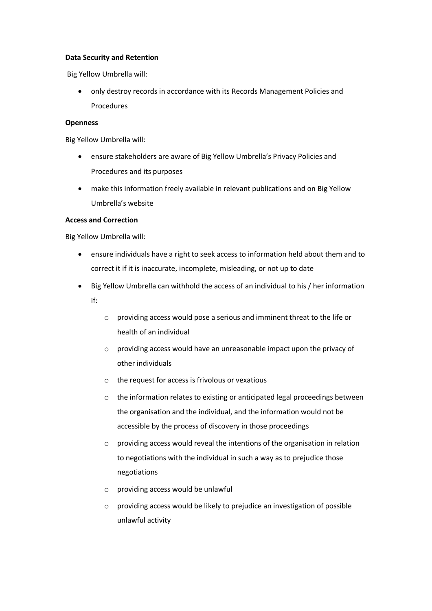#### **Data Security and Retention**

Big Yellow Umbrella will:

• only destroy records in accordance with its Records Management Policies and Procedures

#### **Openness**

Big Yellow Umbrella will:

- ensure stakeholders are aware of Big Yellow Umbrella's Privacy Policies and Procedures and its purposes
- make this information freely available in relevant publications and on Big Yellow Umbrella's website

#### **Access and Correction**

Big Yellow Umbrella will:

- ensure individuals have a right to seek access to information held about them and to correct it if it is inaccurate, incomplete, misleading, or not up to date
- Big Yellow Umbrella can withhold the access of an individual to his / her information if:
	- o providing access would pose a serious and imminent threat to the life or health of an individual
	- o providing access would have an unreasonable impact upon the privacy of other individuals
	- o the request for access is frivolous or vexatious
	- o the information relates to existing or anticipated legal proceedings between the organisation and the individual, and the information would not be accessible by the process of discovery in those proceedings
	- o providing access would reveal the intentions of the organisation in relation to negotiations with the individual in such a way as to prejudice those negotiations
	- o providing access would be unlawful
	- o providing access would be likely to prejudice an investigation of possible unlawful activity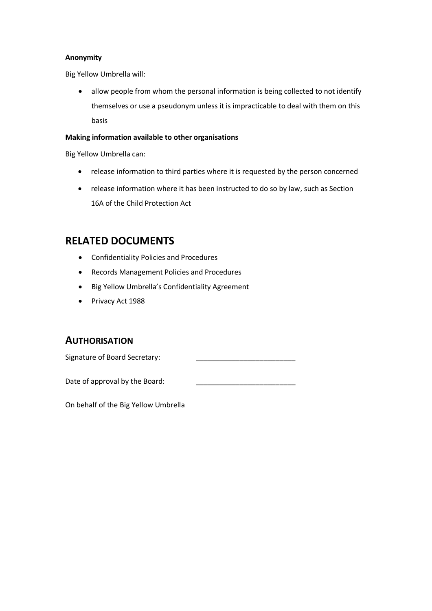#### **Anonymity**

Big Yellow Umbrella will:

• allow people from whom the personal information is being collected to not identify themselves or use a pseudonym unless it is impracticable to deal with them on this basis

#### **Making information available to other organisations**

Big Yellow Umbrella can:

- release information to third parties where it is requested by the person concerned
- release information where it has been instructed to do so by law, such as Section 16A of the Child Protection Act

# **RELATED DOCUMENTS**

- Confidentiality Policies and Procedures
- Records Management Policies and Procedures
- Big Yellow Umbrella's Confidentiality Agreement
- Privacy Act 1988

### **AUTHORISATION**

Signature of Board Secretary:

Date of approval by the Board:

On behalf of the Big Yellow Umbrella